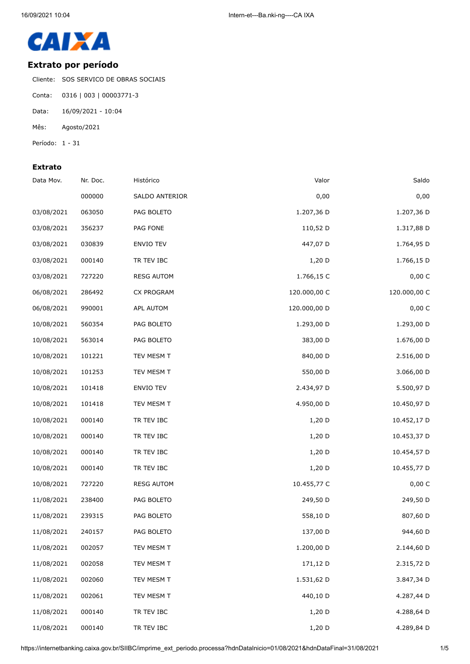

## **Extrato por período**

Cliente: SOS SERVICO DE OBRAS SOCIAIS

- Conta: 0316 | 003 | 00003771-3
- Data: 16/09/2021 10:04
- Mês: Agosto/2021
- Período: 1 31

## **Extrato**

| Data Mov.  | Nr. Doc. | Histórico         | Valor        | Saldo        |
|------------|----------|-------------------|--------------|--------------|
|            | 000000   | SALDO ANTERIOR    | 0,00         | 0,00         |
| 03/08/2021 | 063050   | PAG BOLETO        | 1.207,36 D   | 1.207,36 D   |
| 03/08/2021 | 356237   | PAG FONE          | 110,52 D     | 1.317,88 D   |
| 03/08/2021 | 030839   | ENVIO TEV         | 447,07 D     | 1.764,95 D   |
| 03/08/2021 | 000140   | TR TEV IBC        | $1,20$ D     | 1.766,15 D   |
| 03/08/2021 | 727220   | <b>RESG AUTOM</b> | 1.766,15 C   | 0,00 C       |
| 06/08/2021 | 286492   | CX PROGRAM        | 120.000,00 C | 120.000,00 C |
| 06/08/2021 | 990001   | APL AUTOM         | 120.000,00 D | 0,00 C       |
| 10/08/2021 | 560354   | PAG BOLETO        | 1.293,00 D   | 1.293,00 D   |
| 10/08/2021 | 563014   | PAG BOLETO        | 383,00 D     | 1.676,00 D   |
| 10/08/2021 | 101221   | TEV MESM T        | 840,00 D     | 2.516,00 D   |
| 10/08/2021 | 101253   | TEV MESM T        | 550,00 D     | 3.066,00 D   |
| 10/08/2021 | 101418   | ENVIO TEV         | 2.434,97 D   | 5.500,97 D   |
| 10/08/2021 | 101418   | TEV MESM T        | 4.950,00 D   | 10.450,97 D  |
| 10/08/2021 | 000140   | TR TEV IBC        | 1,20 D       | 10.452,17 D  |
| 10/08/2021 | 000140   | TR TEV IBC        | $1,20$ D     | 10.453,37 D  |
| 10/08/2021 | 000140   | TR TEV IBC        | $1,20$ D     | 10.454,57 D  |
| 10/08/2021 | 000140   | TR TEV IBC        | $1,20$ D     | 10.455,77 D  |
| 10/08/2021 | 727220   | <b>RESG AUTOM</b> | 10.455,77 C  | 0,00 C       |
| 11/08/2021 | 238400   | PAG BOLETO        | 249,50 D     | 249,50 D     |
| 11/08/2021 | 239315   | PAG BOLETO        | 558,10 D     | 807,60 D     |
| 11/08/2021 | 240157   | PAG BOLETO        | 137,00 D     | 944,60 D     |
| 11/08/2021 | 002057   | TEV MESM T        | 1.200,00 D   | 2.144,60 D   |
| 11/08/2021 | 002058   | TEV MESM T        | 171,12 D     | 2.315,72 D   |
| 11/08/2021 | 002060   | TEV MESM T        | 1.531,62 D   | 3.847,34 D   |
| 11/08/2021 | 002061   | TEV MESM T        | 440,10 D     | 4.287,44 D   |
| 11/08/2021 | 000140   | TR TEV IBC        | 1,20 D       | 4.288,64 D   |
| 11/08/2021 | 000140   | TR TEV IBC        | 1,20 D       | 4.289,84 D   |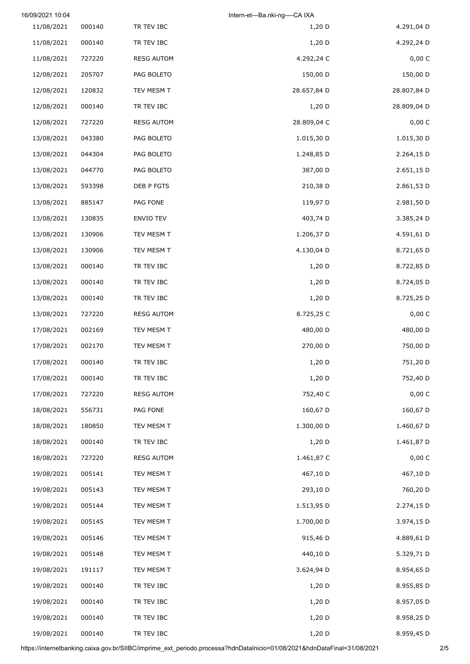|             | Intern-et---Ba.nki-ng----CA IXA |                   |        | 16/09/2021 10:04 |
|-------------|---------------------------------|-------------------|--------|------------------|
| 4.291,04 D  | 1,20 D                          | TR TEV IBC        | 000140 | 11/08/2021       |
| 4.292,24 D  | $1,20$ D                        | TR TEV IBC        | 000140 | 11/08/2021       |
| 0,00 C      | 4.292,24 C                      | <b>RESG AUTOM</b> | 727220 | 11/08/2021       |
| 150,00 D    | 150,00 D                        | PAG BOLETO        | 205707 | 12/08/2021       |
| 28.807,84 D | 28.657,84 D                     | TEV MESM T        | 120832 | 12/08/2021       |
| 28.809,04 D | $1,20$ D                        | TR TEV IBC        | 000140 | 12/08/2021       |
| 0,00 C      | 28.809,04 C                     | <b>RESG AUTOM</b> | 727220 | 12/08/2021       |
| 1.015,30 D  | 1.015,30 D                      | PAG BOLETO        | 043380 | 13/08/2021       |
| 2.264,15 D  | 1.248,85 D                      | PAG BOLETO        | 044304 | 13/08/2021       |
| 2.651,15 D  | 387,00 D                        | PAG BOLETO        | 044770 | 13/08/2021       |
| 2.861,53 D  | 210,38 D                        | DEB P FGTS        | 593398 | 13/08/2021       |
| 2.981,50 D  | 119,97 D                        | PAG FONE          | 885147 | 13/08/2021       |
| 3.385,24 D  | 403,74 D                        | <b>ENVIO TEV</b>  | 130835 | 13/08/2021       |
| 4.591,61 D  | 1.206,37 D                      | TEV MESM T        | 130906 | 13/08/2021       |
| 8.721,65 D  | 4.130,04 D                      | TEV MESM T        | 130906 | 13/08/2021       |
| 8.722,85 D  | 1,20 D                          | TR TEV IBC        | 000140 | 13/08/2021       |
| 8.724,05 D  | 1,20 D                          | TR TEV IBC        | 000140 | 13/08/2021       |
| 8.725,25 D  | 1,20 D                          | TR TEV IBC        | 000140 | 13/08/2021       |
| 0,00 C      | 8.725,25 C                      | <b>RESG AUTOM</b> | 727220 | 13/08/2021       |
| 480,00 D    | 480,00 D                        | TEV MESM T        | 002169 | 17/08/2021       |
| 750,00 D    | 270,00 D                        | TEV MESM T        | 002170 | 17/08/2021       |
| 751,20 D    | 1,20 D                          | TR TEV IBC        | 000140 | 17/08/2021       |
| 752,40 D    | 1,20 D                          | TR TEV IBC        | 000140 | 17/08/2021       |
| 0,00 C      | 752,40 C                        | <b>RESG AUTOM</b> | 727220 | 17/08/2021       |
| 160,67 D    | 160,67 D                        | PAG FONE          | 556731 | 18/08/2021       |
| 1.460,67 D  | 1.300,00 D                      | TEV MESM T        | 180850 | 18/08/2021       |
| 1.461,87 D  | 1,20 D                          | TR TEV IBC        | 000140 | 18/08/2021       |
| 0,00 C      | 1.461,87 C                      | <b>RESG AUTOM</b> | 727220 | 18/08/2021       |
| 467,10 D    | 467,10 D                        | TEV MESM T        | 005141 | 19/08/2021       |
| 760,20 D    | 293,10 D                        | TEV MESM T        | 005143 | 19/08/2021       |
| 2.274,15 D  | 1.513,95 D                      | TEV MESM T        | 005144 | 19/08/2021       |
| 3.974,15 D  | 1.700,00 D                      | TEV MESM T        | 005145 | 19/08/2021       |
| 4.889,61 D  | 915,46 D                        | TEV MESM T        | 005146 | 19/08/2021       |
| 5.329,71 D  | 440,10 D                        | TEV MESM T        | 005148 | 19/08/2021       |
| 8.954,65 D  | 3.624,94 D                      | TEV MESM T        | 191117 | 19/08/2021       |
| 8.955,85 D  | 1,20 D                          | TR TEV IBC        | 000140 | 19/08/2021       |
| 8.957,05 D  | 1,20 D                          | TR TEV IBC        | 000140 | 19/08/2021       |
| 8.958,25 D  | 1,20 D                          | TR TEV IBC        | 000140 | 19/08/2021       |
| 8.959,45 D  | 1,20 D                          | TR TEV IBC        | 000140 | 19/08/2021       |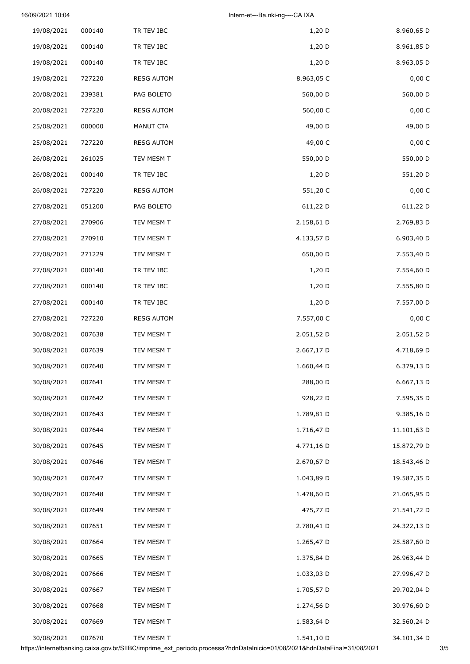| 19/08/2021 | 000140 | TR TEV IBC        | 1,20 D     | 8.960,65 D  |
|------------|--------|-------------------|------------|-------------|
| 19/08/2021 | 000140 | TR TEV IBC        | 1,20 D     | 8.961,85 D  |
| 19/08/2021 | 000140 | TR TEV IBC        | 1,20 D     | 8.963,05 D  |
| 19/08/2021 | 727220 | <b>RESG AUTOM</b> | 8.963,05 C | 0,00 C      |
| 20/08/2021 | 239381 | PAG BOLETO        | 560,00 D   | 560,00 D    |
| 20/08/2021 | 727220 | <b>RESG AUTOM</b> | 560,00 C   | 0,00 C      |
| 25/08/2021 | 000000 | MANUT CTA         | 49,00 D    | 49,00 D     |
| 25/08/2021 | 727220 | <b>RESG AUTOM</b> | 49,00 C    | 0,00 C      |
| 26/08/2021 | 261025 | TEV MESM T        | 550,00 D   | 550,00 D    |
| 26/08/2021 | 000140 | TR TEV IBC        | 1,20 D     | 551,20 D    |
| 26/08/2021 | 727220 | <b>RESG AUTOM</b> | 551,20 C   | 0,00 C      |
| 27/08/2021 | 051200 | PAG BOLETO        | 611,22 D   | 611,22 D    |
| 27/08/2021 | 270906 | TEV MESM T        | 2.158,61 D | 2.769,83 D  |
| 27/08/2021 | 270910 | TEV MESM T        | 4.133,57 D | 6.903,40 D  |
| 27/08/2021 | 271229 | TEV MESM T        | 650,00 D   | 7.553,40 D  |
| 27/08/2021 | 000140 | TR TEV IBC        | 1,20 D     | 7.554,60 D  |
| 27/08/2021 | 000140 | TR TEV IBC        | 1,20 D     | 7.555,80 D  |
| 27/08/2021 | 000140 | TR TEV IBC        | 1,20 D     | 7.557,00 D  |
| 27/08/2021 | 727220 | <b>RESG AUTOM</b> | 7.557,00 C | 0,00 C      |
| 30/08/2021 | 007638 | TEV MESM T        | 2.051,52 D | 2.051,52 D  |
| 30/08/2021 | 007639 | TEV MESM T        | 2.667,17 D | 4.718,69 D  |
| 30/08/2021 | 007640 | TEV MESM T        | 1.660,44 D | 6.379,13 D  |
| 30/08/2021 | 007641 | TEV MESM T        | 288,00 D   | 6.667,13 D  |
| 30/08/2021 | 007642 | TEV MESM T        | 928,22 D   | 7.595,35 D  |
| 30/08/2021 | 007643 | TEV MESM T        | 1.789,81 D | 9.385,16 D  |
| 30/08/2021 | 007644 | TEV MESM T        | 1.716,47 D | 11.101,63 D |
| 30/08/2021 | 007645 | TEV MESM T        | 4.771,16 D | 15.872,79 D |
| 30/08/2021 | 007646 | TEV MESM T        | 2.670,67 D | 18.543,46 D |
| 30/08/2021 | 007647 | TEV MESM T        | 1.043,89 D | 19.587,35 D |
| 30/08/2021 | 007648 | TEV MESM T        | 1.478,60 D | 21.065,95 D |
| 30/08/2021 | 007649 | TEV MESM T        | 475,77 D   | 21.541,72 D |
| 30/08/2021 | 007651 | TEV MESM T        | 2.780,41 D | 24.322,13 D |
| 30/08/2021 | 007664 | TEV MESM T        | 1.265,47 D | 25.587,60 D |
| 30/08/2021 | 007665 | TEV MESM T        | 1.375,84 D | 26.963,44 D |
| 30/08/2021 | 007666 | TEV MESM T        | 1.033,03 D | 27.996,47 D |
| 30/08/2021 | 007667 | TEV MESM T        | 1.705,57 D | 29.702,04 D |
| 30/08/2021 | 007668 | TEV MESM T        | 1.274,56 D | 30.976,60 D |
| 30/08/2021 | 007669 | TEV MESM T        | 1.583,64 D | 32.560,24 D |
| 30/08/2021 | 007670 | TEV MESM T        | 1.541,10 D | 34.101,34 D |

https://internetbanking.caixa.gov.br/SIIBC/imprime\_ext\_periodo.processa?hdnDataInicio=01/08/2021&hdnDataFinal=31/08/2021 3/5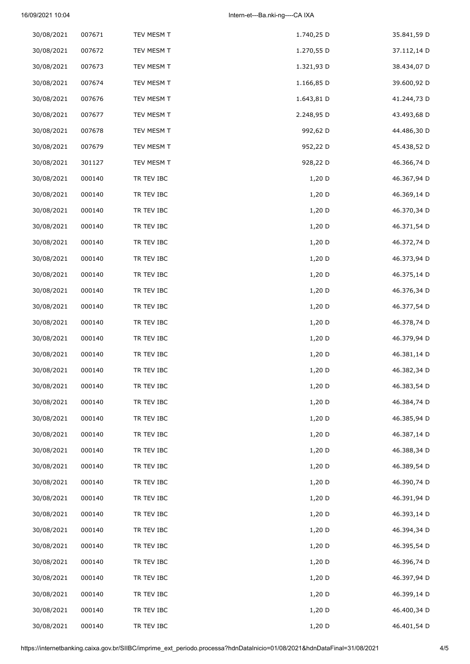| 30/08/2021 | 007671 | TEV MESM T | 1.740,25 D | 35.841,59 D |
|------------|--------|------------|------------|-------------|
| 30/08/2021 | 007672 | TEV MESM T | 1.270,55 D | 37.112,14 D |
| 30/08/2021 | 007673 | TEV MESM T | 1.321,93 D | 38.434,07 D |
| 30/08/2021 | 007674 | TEV MESM T | 1.166,85 D | 39.600,92 D |
| 30/08/2021 | 007676 | TEV MESM T | 1.643,81 D | 41.244,73 D |
| 30/08/2021 | 007677 | TEV MESM T | 2.248,95 D | 43.493,68 D |
| 30/08/2021 | 007678 | TEV MESM T | 992,62 D   | 44.486,30 D |
| 30/08/2021 | 007679 | TEV MESM T | 952,22 D   | 45.438,52 D |
| 30/08/2021 | 301127 | TEV MESM T | 928,22 D   | 46.366,74 D |
| 30/08/2021 | 000140 | TR TEV IBC | 1,20 D     | 46.367,94 D |
| 30/08/2021 | 000140 | TR TEV IBC | 1,20 D     | 46.369,14 D |
| 30/08/2021 | 000140 | TR TEV IBC | $1,20$ D   | 46.370,34 D |
| 30/08/2021 | 000140 | TR TEV IBC | 1,20 D     | 46.371,54 D |
| 30/08/2021 | 000140 | TR TEV IBC | 1,20 D     | 46.372,74 D |
| 30/08/2021 | 000140 | TR TEV IBC | 1,20 D     | 46.373,94 D |
| 30/08/2021 | 000140 | TR TEV IBC | 1,20 D     | 46.375,14 D |
| 30/08/2021 | 000140 | TR TEV IBC | $1,20$ D   | 46.376,34 D |
| 30/08/2021 | 000140 | TR TEV IBC | 1,20 D     | 46.377,54 D |
| 30/08/2021 | 000140 | TR TEV IBC | 1,20 D     | 46.378,74 D |
| 30/08/2021 | 000140 | TR TEV IBC | 1,20 D     | 46.379,94 D |
| 30/08/2021 | 000140 | TR TEV IBC | $1,20$ D   | 46.381,14 D |
| 30/08/2021 | 000140 | TR TEV IBC | 1,20 D     | 46.382,34 D |
| 30/08/2021 | 000140 | TR TEV IBC | 1,20 D     | 46.383,54 D |
| 30/08/2021 | 000140 | TR TEV IBC | 1,20 D     | 46.384,74 D |
| 30/08/2021 | 000140 | TR TEV IBC | 1,20 D     | 46.385,94 D |
| 30/08/2021 | 000140 | TR TEV IBC | $1,20$ D   | 46.387,14 D |
| 30/08/2021 | 000140 | TR TEV IBC | 1,20 D     | 46.388,34 D |
| 30/08/2021 | 000140 | TR TEV IBC | 1,20 D     | 46.389,54 D |
| 30/08/2021 | 000140 | TR TEV IBC | 1,20 D     | 46.390,74 D |
| 30/08/2021 | 000140 | TR TEV IBC | 1,20 D     | 46.391,94 D |
| 30/08/2021 | 000140 | TR TEV IBC | 1,20 D     | 46.393,14 D |
| 30/08/2021 | 000140 | TR TEV IBC | 1,20 D     | 46.394,34 D |
| 30/08/2021 | 000140 | TR TEV IBC | 1,20 D     | 46.395,54 D |
| 30/08/2021 | 000140 | TR TEV IBC | 1,20 D     | 46.396,74 D |
| 30/08/2021 | 000140 | TR TEV IBC | 1,20 D     | 46.397,94 D |
| 30/08/2021 | 000140 | TR TEV IBC | 1,20 D     | 46.399,14 D |
| 30/08/2021 | 000140 | TR TEV IBC | 1,20 D     | 46.400,34 D |
| 30/08/2021 | 000140 | TR TEV IBC | 1,20 D     | 46.401,54 D |